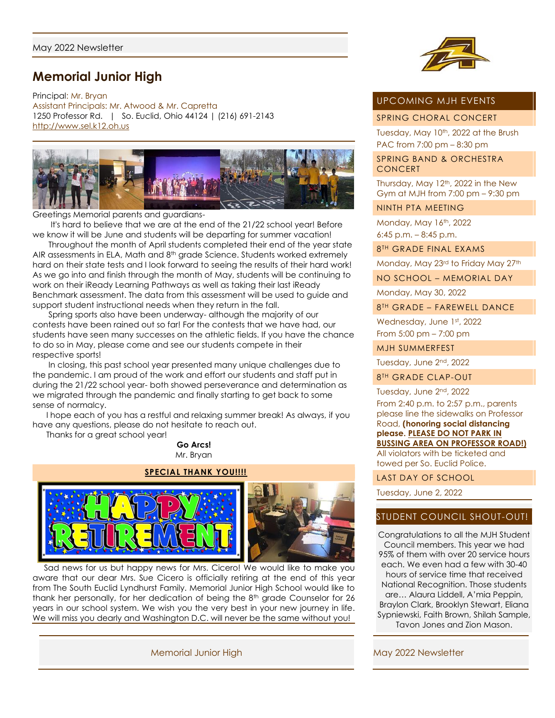# **Memorial Junior High**

Principal: Mr. Bryan Assistant Principals: Mr. Atwood & Mr. Capretta 1250 Professor Rd. | So. Euclid, Ohio 44124 | (216) 691-2143 [http://www.sel.k12.oh.us](http://www.sel.k12.oh.us/)



Greetings Memorial parents and guardians-

 It's hard to believe that we are at the end of the 21/22 school year! Before we know it will be June and students will be departing for summer vacation!

 Throughout the month of April students completed their end of the year state AIR assessments in ELA, Math and 8th grade Science. Students worked extremely hard on their state tests and I look forward to seeing the results of their hard work! As we go into and finish through the month of May, students will be continuing to work on their iReady Learning Pathways as well as taking their last iReady Benchmark assessment. The data from this assessment will be used to guide and support student instructional needs when they return in the fall.

 Spring sports also have been underway- although the majority of our contests have been rained out so far! For the contests that we have had, our students have seen many successes on the athletic fields. If you have the chance to do so in May, please come and see our students compete in their respective sports!

 In closing, this past school year presented many unique challenges due to the pandemic. I am proud of the work and effort our students and staff put in during the 21/22 school year- both showed perseverance and determination as we migrated through the pandemic and finally starting to get back to some sense of normalcy.

 I hope each of you has a restful and relaxing summer break! As always, if you have any questions, please do not hesitate to reach out.

 Thanks for a great school year! **Go Arcs!**

Mr. Bryan



 Sad news for us but happy news for Mrs. Cicero! We would like to make you aware that our dear Mrs. Sue Cicero is officially retiring at the end of this year from The South Euclid Lyndhurst Family. Memorial Junior High School would like to thank her personally, for her dedication of being the 8<sup>th</sup> grade Counselor for 26 years in our school system. We wish you the very best in your new journey in life. We will miss you dearly and Washington D.C. will never be the same without you!

Memorial Junior High May 2022 Newsletter



# UPCOMING MJH EVENTS

SPRING CHORAL CONCERT

Tuesday, May 10<sup>th</sup>, 2022 at the Brush PAC from 7:00 pm – 8:30 pm

SPRING BAND & ORCHESTRA **CONCERT** 

Thursday, May  $12<sup>th</sup>$ , 2022 in the New Gym at MJH from 7:00 pm – 9:30 pm

#### NINTH PTA MEETING

Monday, May 16th, 2022 6:45 p.m. – 8:45 p.m.

8 TH GRADE FINAL EXAMS

Monday, May 23rd to Friday May 27th

NO SCHOOL – MEMORIAL DAY

Monday, May 30, 2022

8 TH GRADE – FAREWELL DANCE

Wednesday, June 1st, 2022 From 5:00 pm – 7:00 pm

MJH SUMMERFEST

Tuesday, June 2nd, 2022

8 TH GRADE CLAP-OUT

Tuesday, June 2<sup>nd</sup>, 2022

From 2:40 p.m. to 2:57 p.m., parents please line the sidewalks on Professor Road, **(honoring social distancing please. PLEASE DO NOT PARK IN BUSSING AREA ON PROFESSOR ROAD!)** All violators with be ticketed and towed per So. Euclid Police.

LAST DAY OF SCHOOL

Tuesday, June 2, 2022

# STUDENT COUNCIL SHOUT-OUT!

Congratulations to all the MJH Student Council members. This year we had 95% of them with over 20 service hours each. We even had a few with 30-40 hours of service time that received National Recognition. Those students are… Alaura Liddell, A'mia Peppin, Braylon Clark, Brooklyn Stewart, Eliana Sypniewski, Faith Brown, Shilah Sample, Tavon Jones and Zion Mason.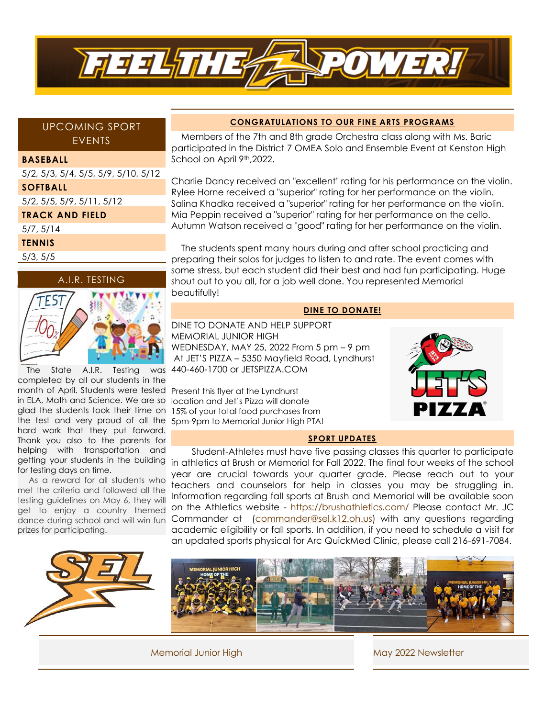

# UPCOMING SPORT EVENTS

#### **BASEBALL**

5/2, 5/3, 5/4, 5/5, 5/9, 5/10, 5/12 **SOFTBALL** 5/2, 5/5, 5/9, 5/11, 5/12 **TRACK AND FIELD** 5/7, 5/14 **TENNIS** 5/3, 5/5





month of April. Students were tested Present this flyer at the Lyndhurst The State A.I.R. Testing was completed by all our students in the in ELA, Math and Science. We are so glad the students took their time on the test and very proud of all the hard work that they put forward. Thank you also to the parents for helping with transportation and getting your students in the building for testing days on time.

 As a reward for all students who met the criteria and followed all the testing guidelines on May 6, they will get to enjoy a country themed dance during school and will win fun prizes for participating.

### **CONGRATULATIONS TO OUR FINE ARTS PROGRAMS**

 Members of the 7th and 8th grade Orchestra class along with Ms. Baric participated in the District 7 OMEA Solo and Ensemble Event at Kenston High School on April 9<sup>th</sup>,2022.

Charlie Dancy received an "excellent" rating for his performance on the violin. Rylee Horne received a "superior" rating for her performance on the violin. Salina Khadka received a "superior" rating for her performance on the violin. Mia Peppin received a "superior" rating for her performance on the cello. Autumn Watson received a "good" rating for her performance on the violin.

 The students spent many hours during and after school practicing and preparing their solos for judges to listen to and rate. The event comes with some stress, but each student did their best and had fun participating. Huge shout out to you all, for a job well done. You represented Memorial beautifully!

#### **DINE TO DONATE!**

# DINE TO DONATE AND HELP SUPPORT MEMORIAL JUNIOR HIGH WEDNESDAY, MAY 25, 2022 From 5 pm – 9 pm At JET'S PIZZA – 5350 Mayfield Road, Lyndhurst 440-460-1700 or JETSPIZZA.COM

location and Jet's Pizza will donate 15% of your total food purchases from 5pm-9pm to Memorial Junior High PTA!



#### **SPORT UPDATES**

 Student-Athletes must have five passing classes this quarter to participate in athletics at Brush or Memorial for Fall 2022. The final four weeks of the school year are crucial towards your quarter grade. Please reach out to your teachers and counselors for help in classes you may be struggling in. Information regarding fall sports at Brush and Memorial will be available soon on the Athletics website - https://brushathletics.com/ Please contact Mr. JC Commander at [\(commander@sel.k12.oh.us\)](mailto:commander@sel.k12.oh.us) with any questions regarding academic eligibility or fall sports. In addition, if you need to schedule a visit for an updated sports physical for Arc QuickMed Clinic, please call 216-691-7084.



Memorial Junior High May 2022 Newsletter